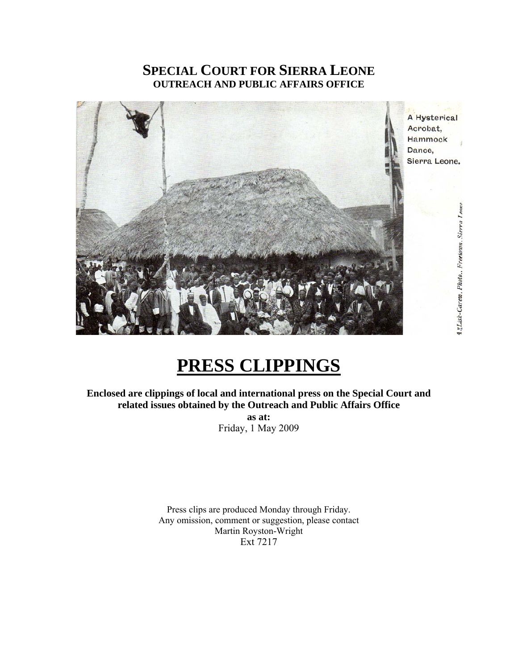# **SPECIAL COURT FOR SIERRA LEONE OUTREACH AND PUBLIC AFFAIRS OFFICE**



# **PRESS CLIPPINGS**

**Enclosed are clippings of local and international press on the Special Court and related issues obtained by the Outreach and Public Affairs Office as at:** 

Friday, 1 May 2009

Press clips are produced Monday through Friday. Any omission, comment or suggestion, please contact Martin Royston-Wright Ext 7217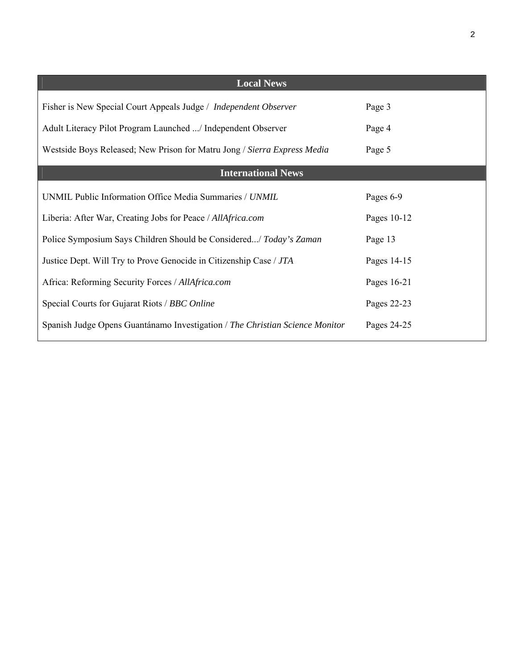| <b>Local News</b>                                                            |             |
|------------------------------------------------------------------------------|-------------|
| Fisher is New Special Court Appeals Judge / <i>Independent Observer</i>      | Page 3      |
| Adult Literacy Pilot Program Launched / Independent Observer                 | Page 4      |
| Westside Boys Released; New Prison for Matru Jong / Sierra Express Media     | Page 5      |
| <b>International News</b>                                                    |             |
| UNMIL Public Information Office Media Summaries / UNMIL                      | Pages 6-9   |
| Liberia: After War, Creating Jobs for Peace / AllAfrica.com                  | Pages 10-12 |
| Police Symposium Says Children Should be Considered/ Today's Zaman           | Page 13     |
| Justice Dept. Will Try to Prove Genocide in Citizenship Case / JTA           | Pages 14-15 |
| Africa: Reforming Security Forces / AllAfrica.com                            | Pages 16-21 |
| Special Courts for Gujarat Riots / BBC Online                                | Pages 22-23 |
| Spanish Judge Opens Guantánamo Investigation / The Christian Science Monitor | Pages 24-25 |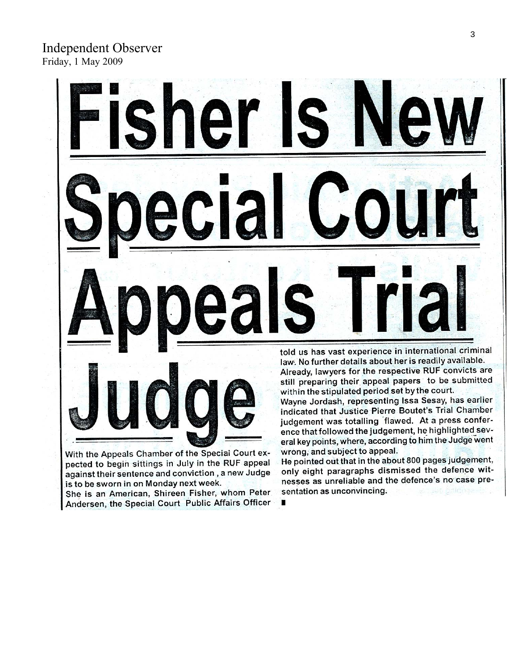

pected to begin sittings in July in the RUF appeal against their sentence and conviction, a new Judge is to be sworn in on Monday next week.

She is an American, Shireen Fisher, whom Peter Andersen, the Special Court Public Affairs Officer

He pointed out that in the about 800 pages judgement, only eight paragraphs dismissed the defence witnesses as unreliable and the defence's no case presentation as unconvincing.

×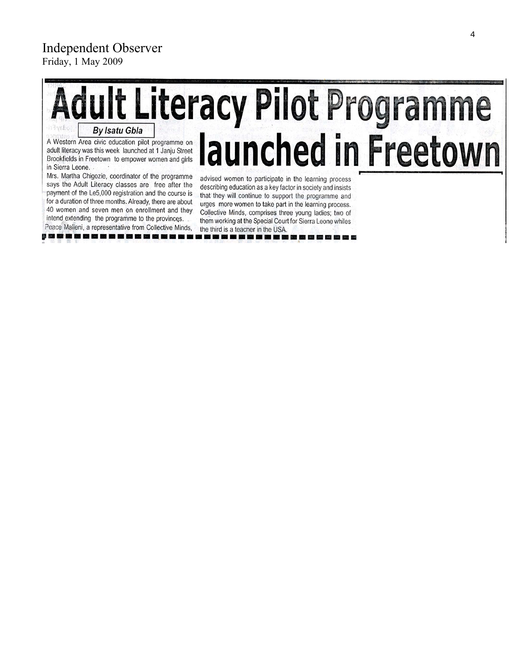# Independent Observer Friday, 1 May 2009

# **Adult Literacy Pilot Programme By Isatu Gbla** launched in Freetown A Western Area civic education pilot programme on adult literacy was this week launched at 1 Janju Street Brookfields in Freetown to empower women and girls in Sierra Leone.

Mrs. Martha Chigozie, coordinator of the programme says the Adult Literacy classes are free after the payment of the Le5,000 registration and the course is for a duration of three months. Already, there are about 40 women and seven men on enrollment and they intend extending the programme to the provinces.

Peace Malleni, a representative from Collective Minds, 953 53 65 65 66 67 68 69 69 69 69

advised women to participate in the learning process describing education as a key factor in society and insists that they will continue to support the programme and urges more women to take part in the learning process. Collective Minds, comprises three young ladies; two of them working at the Special Court for Sierra Leone whiles the third is a teacher in the USA. -----------------

will not only your seal, line was real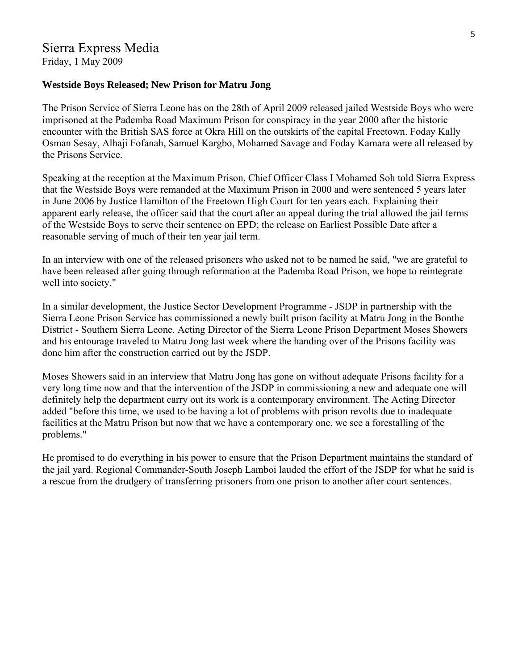Friday, 1 May 2009

### **Westside Boys Released; New Prison for Matru Jong**

The Prison Service of Sierra Leone has on the 28th of April 2009 released jailed Westside Boys who were imprisoned at the Pademba Road Maximum Prison for conspiracy in the year 2000 after the historic encounter with the British SAS force at Okra Hill on the outskirts of the capital Freetown. Foday Kally Osman Sesay, Alhaji Fofanah, Samuel Kargbo, Mohamed Savage and Foday Kamara were all released by the Prisons Service.

Speaking at the reception at the Maximum Prison, Chief Officer Class I Mohamed Soh told Sierra Express that the Westside Boys were remanded at the Maximum Prison in 2000 and were sentenced 5 years later in June 2006 by Justice Hamilton of the Freetown High Court for ten years each. Explaining their apparent early release, the officer said that the court after an appeal during the trial allowed the jail terms of the Westside Boys to serve their sentence on EPD; the release on Earliest Possible Date after a reasonable serving of much of their ten year jail term.

In an interview with one of the released prisoners who asked not to be named he said, "we are grateful to have been released after going through reformation at the Pademba Road Prison, we hope to reintegrate well into society."

In a similar development, the Justice Sector Development Programme - JSDP in partnership with the Sierra Leone Prison Service has commissioned a newly built prison facility at Matru Jong in the Bonthe District - Southern Sierra Leone. Acting Director of the Sierra Leone Prison Department Moses Showers and his entourage traveled to Matru Jong last week where the handing over of the Prisons facility was done him after the construction carried out by the JSDP.

Moses Showers said in an interview that Matru Jong has gone on without adequate Prisons facility for a very long time now and that the intervention of the JSDP in commissioning a new and adequate one will definitely help the department carry out its work is a contemporary environment. The Acting Director added "before this time, we used to be having a lot of problems with prison revolts due to inadequate facilities at the Matru Prison but now that we have a contemporary one, we see a forestalling of the problems."

He promised to do everything in his power to ensure that the Prison Department maintains the standard of the jail yard. Regional Commander-South Joseph Lamboi lauded the effort of the JSDP for what he said is a rescue from the drudgery of transferring prisoners from one prison to another after court sentences.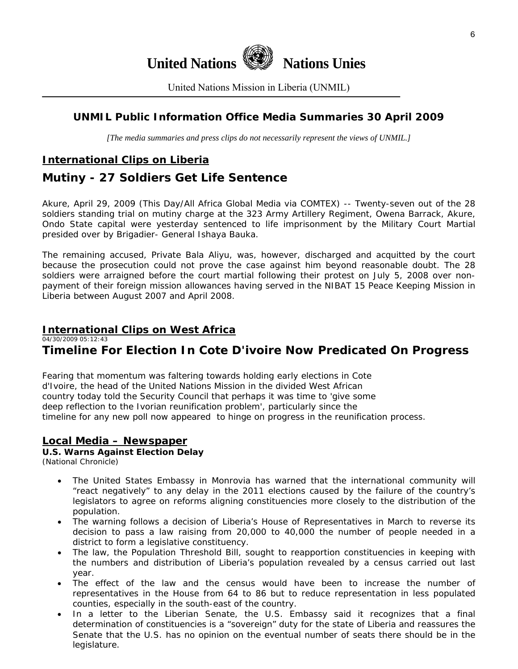

United Nations Mission in Liberia (UNMIL)

# **UNMIL Public Information Office Media Summaries 30 April 2009**

*[The media summaries and press clips do not necessarily represent the views of UNMIL.]* 

# **International Clips on Liberia**

# **Mutiny - 27 Soldiers Get Life Sentence**

Akure, April 29, 2009 (This Day/All Africa Global Media via COMTEX) -- Twenty-seven out of the 28 soldiers standing trial on mutiny charge at the 323 Army Artillery Regiment, Owena Barrack, Akure, Ondo State capital were yesterday sentenced to life imprisonment by the Military Court Martial presided over by Brigadier- General Ishaya Bauka.

The remaining accused, Private Bala Aliyu, was, however, discharged and acquitted by the court because the prosecution could not prove the case against him beyond reasonable doubt. The 28 soldiers were arraigned before the court martial following their protest on July 5, 2008 over nonpayment of their foreign mission allowances having served in the NIBAT 15 Peace Keeping Mission in Liberia between August 2007 and April 2008.

# **International Clips on West Africa**

04/30/2009 05:12:43

# **Timeline For Election In Cote D'ivoire Now Predicated On Progress**

Fearing that momentum was faltering towards holding early elections in Cote d'Ivoire, the head of the United Nations Mission in the divided West African country today told the Security Council that perhaps it was time to 'give some deep reflection to the Ivorian reunification problem', particularly since the timeline for any new poll now appeared to hinge on progress in the reunification process.

### **Local Media – Newspaper**

### **U.S. Warns Against Election Delay**

(National Chronicle)

- The United States Embassy in Monrovia has warned that the international community will "react negatively" to any delay in the 2011 elections caused by the failure of the country's legislators to agree on reforms aligning constituencies more closely to the distribution of the population.
- The warning follows a decision of Liberia's House of Representatives in March to reverse its decision to pass a law raising from 20,000 to 40,000 the number of people needed in a district to form a legislative constituency.
- The law, the Population Threshold Bill, sought to reapportion constituencies in keeping with the numbers and distribution of Liberia's population revealed by a census carried out last year.
- The effect of the law and the census would have been to increase the number of representatives in the House from 64 to 86 but to reduce representation in less populated counties, especially in the south-east of the country.
- In a letter to the Liberian Senate, the U.S. Embassy said it recognizes that a final determination of constituencies is a "sovereign" duty for the state of Liberia and reassures the Senate that the U.S. has no opinion on the eventual number of seats there should be in the legislature.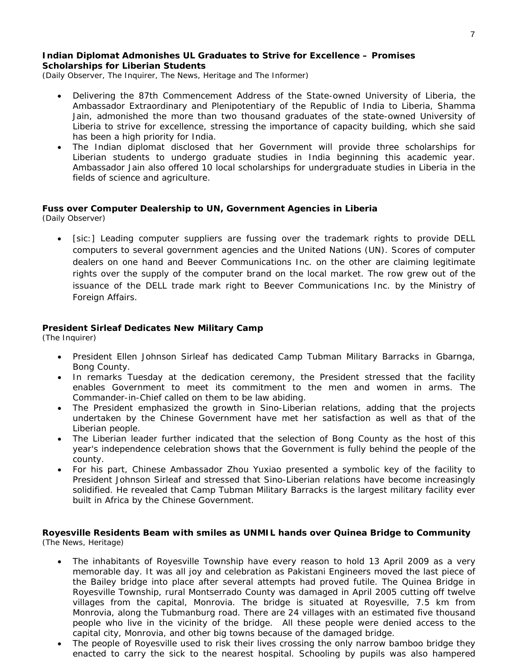#### **Indian Diplomat Admonishes UL Graduates to Strive for Excellence – Promises Scholarships for Liberian Students**

(Daily Observer, The Inquirer, The News, Heritage and The Informer)

- Delivering the 87th Commencement Address of the State-owned University of Liberia, the Ambassador Extraordinary and Plenipotentiary of the Republic of India to Liberia, Shamma Jain, admonished the more than two thousand graduates of the state-owned University of Liberia to strive for excellence, stressing the importance of capacity building, which she said has been a high priority for India.
- The Indian diplomat disclosed that her Government will provide three scholarships for Liberian students to undergo graduate studies in India beginning this academic year. Ambassador Jain also offered 10 local scholarships for undergraduate studies in Liberia in the fields of science and agriculture.

# **Fuss over Computer Dealership to UN, Government Agencies in Liberia**

(Daily Observer)

[sic:] Leading computer suppliers are fussing over the trademark rights to provide DELL computers to several government agencies and the United Nations (UN). Scores of computer dealers on one hand and Beever Communications Inc. on the other are claiming legitimate rights over the supply of the computer brand on the local market. The row grew out of the issuance of the DELL trade mark right to Beever Communications Inc. by the Ministry of Foreign Affairs.

#### **President Sirleaf Dedicates New Military Camp**

(The Inquirer)

- President Ellen Johnson Sirleaf has dedicated Camp Tubman Military Barracks in Gbarnga, Bong County.
- In remarks Tuesday at the dedication ceremony, the President stressed that the facility enables Government to meet its commitment to the men and women in arms. The Commander-in-Chief called on them to be law abiding.
- The President emphasized the growth in Sino-Liberian relations, adding that the projects undertaken by the Chinese Government have met her satisfaction as well as that of the Liberian people.
- The Liberian leader further indicated that the selection of Bong County as the host of this year's independence celebration shows that the Government is fully behind the people of the county.
- For his part, Chinese Ambassador Zhou Yuxiao presented a symbolic key of the facility to President Johnson Sirleaf and stressed that Sino-Liberian relations have become increasingly solidified. He revealed that Camp Tubman Military Barracks is the largest military facility ever built in Africa by the Chinese Government.

#### **Royesville Residents Beam with smiles as UNMIL hands over Quinea Bridge to Community**  (The News, Heritage)

- The inhabitants of Royesville Township have every reason to hold 13 April 2009 as a very memorable day. It was all joy and celebration as Pakistani Engineers moved the last piece of the Bailey bridge into place after several attempts had proved futile. The Quinea Bridge in Royesville Township, rural Montserrado County was damaged in April 2005 cutting off twelve villages from the capital, Monrovia. The bridge is situated at Royesville, 7.5 km from Monrovia, along the Tubmanburg road. There are 24 villages with an estimated five thousand people who live in the vicinity of the bridge. All these people were denied access to the capital city, Monrovia, and other big towns because of the damaged bridge.
- The people of Royesville used to risk their lives crossing the only narrow bamboo bridge they enacted to carry the sick to the nearest hospital. Schooling by pupils was also hampered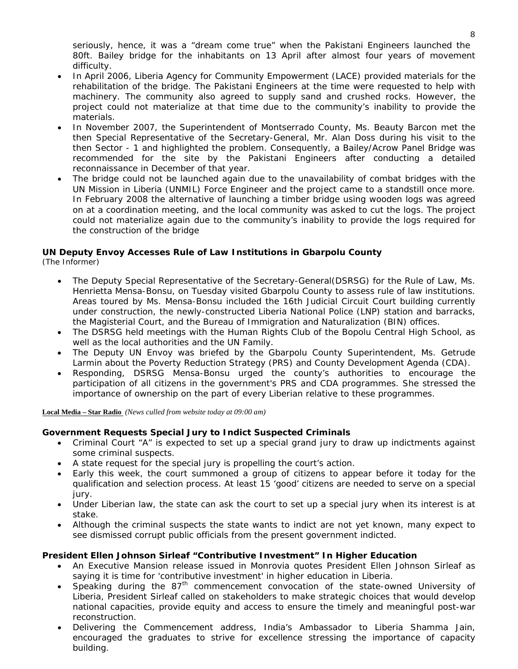seriously, hence, it was a "dream come true" when the Pakistani Engineers launched the 80ft. Bailey bridge for the inhabitants on 13 April after almost four years of movement difficulty.

- In April 2006, Liberia Agency for Community Empowerment (LACE) provided materials for the rehabilitation of the bridge. The Pakistani Engineers at the time were requested to help with machinery. The community also agreed to supply sand and crushed rocks. However, the project could not materialize at that time due to the community's inability to provide the materials.
- In November 2007, the Superintendent of Montserrado County, Ms. Beauty Barcon met the then Special Representative of the Secretary-General, Mr. Alan Doss during his visit to the then Sector - 1 and highlighted the problem. Consequently, a Bailey/Acrow Panel Bridge was recommended for the site by the Pakistani Engineers after conducting a detailed reconnaissance in December of that year.
- The bridge could not be launched again due to the unavailability of combat bridges with the UN Mission in Liberia (UNMIL) Force Engineer and the project came to a standstill once more. In February 2008 the alternative of launching a timber bridge using wooden logs was agreed on at a coordination meeting, and the local community was asked to cut the logs. The project could not materialize again due to the community's inability to provide the logs required for the construction of the bridge

# **UN Deputy Envoy Accesses Rule of Law Institutions in Gbarpolu County**

(The Informer)

- The Deputy Special Representative of the Secretary-General(DSRSG) for the Rule of Law, Ms. Henrietta Mensa-Bonsu, on Tuesday visited Gbarpolu County to assess rule of law institutions. Areas toured by Ms. Mensa-Bonsu included the 16th Judicial Circuit Court building currently under construction, the newly-constructed Liberia National Police (LNP) station and barracks, the Magisterial Court, and the Bureau of Immigration and Naturalization (BIN) offices.
- The DSRSG held meetings with the Human Rights Club of the Bopolu Central High School, as well as the local authorities and the UN Family.
- The Deputy UN Envoy was briefed by the Gbarpolu County Superintendent, Ms. Getrude Larmin about the Poverty Reduction Strategy (PRS) and County Development Agenda (CDA).
- Responding, DSRSG Mensa-Bonsu urged the county's authorities to encourage the participation of all citizens in the government's PRS and CDA programmes. She stressed the importance of ownership on the part of every Liberian relative to these programmes.

**Local Media – Star Radio** *(News culled from website today at 09:00 am)*

#### **Government Requests Special Jury to Indict Suspected Criminals**

- Criminal Court "A" is expected to set up a special grand jury to draw up indictments against some criminal suspects.
- A state request for the special jury is propelling the court's action.
- Early this week, the court summoned a group of citizens to appear before it today for the qualification and selection process. At least 15 'good' citizens are needed to serve on a special jury.
- Under Liberian law, the state can ask the court to set up a special jury when its interest is at stake.
- Although the criminal suspects the state wants to indict are not yet known, many expect to see dismissed corrupt public officials from the present government indicted.

#### **President Ellen Johnson Sirleaf "Contributive Investment" In Higher Education**

- An Executive Mansion release issued in Monrovia quotes President Ellen Johnson Sirleaf as saying it is time for 'contributive investment' in higher education in Liberia.
- Speaking during the  $87<sup>th</sup>$  commencement convocation of the state-owned University of Liberia, President Sirleaf called on stakeholders to make strategic choices that would develop national capacities, provide equity and access to ensure the timely and meaningful post-war reconstruction.
- Delivering the Commencement address, India's Ambassador to Liberia Shamma Jain, encouraged the graduates to strive for excellence stressing the importance of capacity building.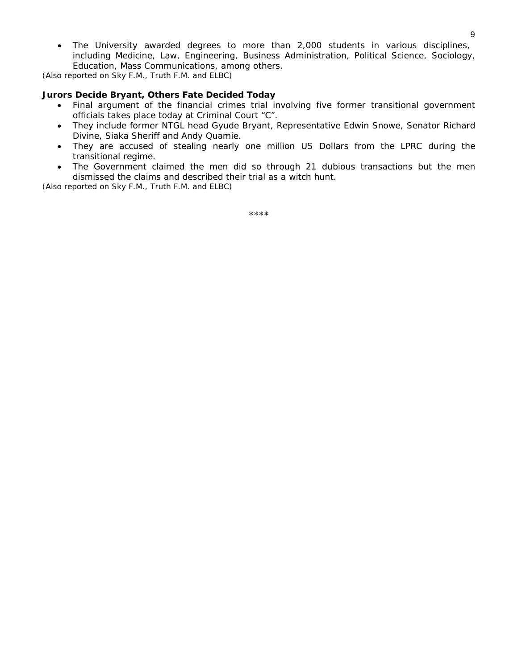• The University awarded degrees to more than 2,000 students in various disciplines, including Medicine, Law, Engineering, Business Administration, Political Science, Sociology, Education, Mass Communications, among others.

*(Also reported on Sky F.M., Truth F.M. and ELBC)* 

#### **Jurors Decide Bryant, Others Fate Decided Today**

- Final argument of the financial crimes trial involving five former transitional government officials takes place today at Criminal Court "C".
- They include former NTGL head Gyude Bryant, Representative Edwin Snowe, Senator Richard Divine, Siaka Sheriff and Andy Quamie.
- They are accused of stealing nearly one million US Dollars from the LPRC during the transitional regime.
- The Government claimed the men did so through 21 dubious transactions but the men dismissed the claims and described their trial as a witch hunt.

*(Also reported on Sky F.M., Truth F.M. and ELBC)*

\*\*\*\*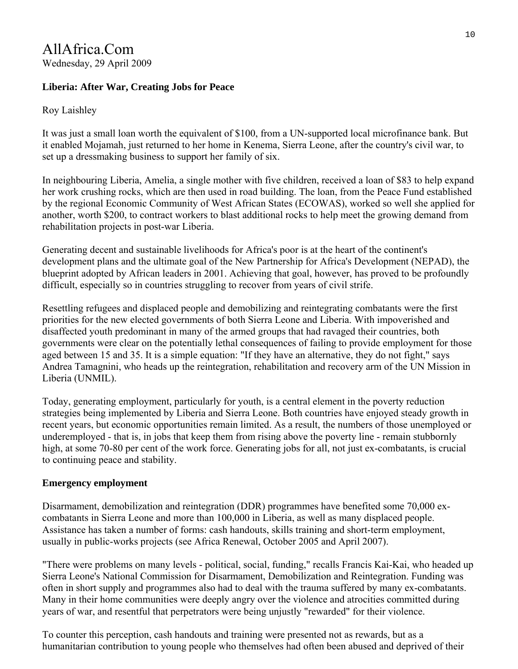# AllAfrica.Com Wednesday, 29 April 2009

# **Liberia: After War, Creating Jobs for Peace**

# Roy Laishley

It was just a small loan worth the equivalent of \$100, from a UN-supported local microfinance bank. But it enabled Mojamah, just returned to her home in Kenema, Sierra Leone, after the country's civil war, to set up a dressmaking business to support her family of six.

In neighbouring Liberia, Amelia, a single mother with five children, received a loan of \$83 to help expand her work crushing rocks, which are then used in road building. The loan, from the Peace Fund established by the regional Economic Community of West African States (ECOWAS), worked so well she applied for another, worth \$200, to contract workers to blast additional rocks to help meet the growing demand from rehabilitation projects in post-war Liberia.

Generating decent and sustainable livelihoods for Africa's poor is at the heart of the continent's development plans and the ultimate goal of the New Partnership for Africa's Development (NEPAD), the blueprint adopted by African leaders in 2001. Achieving that goal, however, has proved to be profoundly difficult, especially so in countries struggling to recover from years of civil strife.

Resettling refugees and displaced people and demobilizing and reintegrating combatants were the first priorities for the new elected governments of both Sierra Leone and Liberia. With impoverished and disaffected youth predominant in many of the armed groups that had ravaged their countries, both governments were clear on the potentially lethal consequences of failing to provide employment for those aged between 15 and 35. It is a simple equation: "If they have an alternative, they do not fight," says Andrea Tamagnini, who heads up the reintegration, rehabilitation and recovery arm of the UN Mission in Liberia (UNMIL).

Today, generating employment, particularly for youth, is a central element in the poverty reduction strategies being implemented by Liberia and Sierra Leone. Both countries have enjoyed steady growth in recent years, but economic opportunities remain limited. As a result, the numbers of those unemployed or underemployed - that is, in jobs that keep them from rising above the poverty line - remain stubbornly high, at some 70-80 per cent of the work force. Generating jobs for all, not just ex-combatants, is crucial to continuing peace and stability.

# **Emergency employment**

Disarmament, demobilization and reintegration (DDR) programmes have benefited some 70,000 excombatants in Sierra Leone and more than 100,000 in Liberia, as well as many displaced people. Assistance has taken a number of forms: cash handouts, skills training and short-term employment, usually in public-works projects (see Africa Renewal, October 2005 and April 2007).

"There were problems on many levels - political, social, funding," recalls Francis Kai-Kai, who headed up Sierra Leone's National Commission for Disarmament, Demobilization and Reintegration. Funding was often in short supply and programmes also had to deal with the trauma suffered by many ex-combatants. Many in their home communities were deeply angry over the violence and atrocities committed during years of war, and resentful that perpetrators were being unjustly "rewarded" for their violence.

To counter this perception, cash handouts and training were presented not as rewards, but as a humanitarian contribution to young people who themselves had often been abused and deprived of their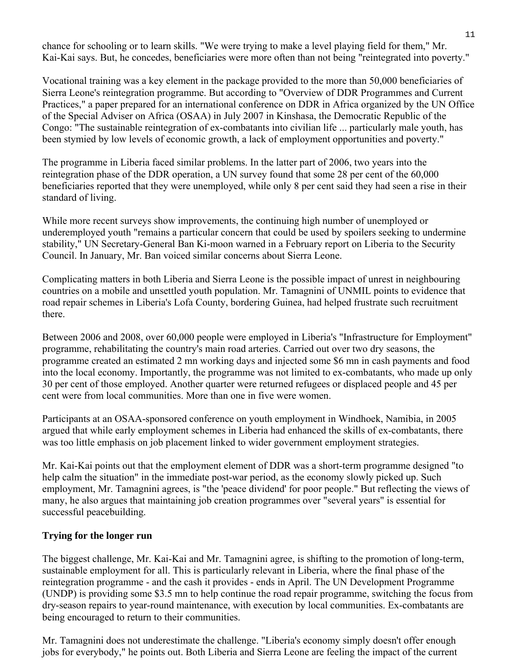chance for schooling or to learn skills. "We were trying to make a level playing field for them," Mr. Kai-Kai says. But, he concedes, beneficiaries were more often than not being "reintegrated into poverty."

Vocational training was a key element in the package provided to the more than 50,000 beneficiaries of Sierra Leone's reintegration programme. But according to "Overview of DDR Programmes and Current Practices," a paper prepared for an international conference on DDR in Africa organized by the UN Office of the Special Adviser on Africa (OSAA) in July 2007 in Kinshasa, the Democratic Republic of the Congo: "The sustainable reintegration of ex-combatants into civilian life ... particularly male youth, has been stymied by low levels of economic growth, a lack of employment opportunities and poverty."

The programme in Liberia faced similar problems. In the latter part of 2006, two years into the reintegration phase of the DDR operation, a UN survey found that some 28 per cent of the 60,000 beneficiaries reported that they were unemployed, while only 8 per cent said they had seen a rise in their standard of living.

While more recent surveys show improvements, the continuing high number of unemployed or underemployed youth "remains a particular concern that could be used by spoilers seeking to undermine stability," UN Secretary-General Ban Ki-moon warned in a February report on Liberia to the Security Council. In January, Mr. Ban voiced similar concerns about Sierra Leone.

Complicating matters in both Liberia and Sierra Leone is the possible impact of unrest in neighbouring countries on a mobile and unsettled youth population. Mr. Tamagnini of UNMIL points to evidence that road repair schemes in Liberia's Lofa County, bordering Guinea, had helped frustrate such recruitment there.

Between 2006 and 2008, over 60,000 people were employed in Liberia's "Infrastructure for Employment" programme, rehabilitating the country's main road arteries. Carried out over two dry seasons, the programme created an estimated 2 mn working days and injected some \$6 mn in cash payments and food into the local economy. Importantly, the programme was not limited to ex-combatants, who made up only 30 per cent of those employed. Another quarter were returned refugees or displaced people and 45 per cent were from local communities. More than one in five were women.

Participants at an OSAA-sponsored conference on youth employment in Windhoek, Namibia, in 2005 argued that while early employment schemes in Liberia had enhanced the skills of ex-combatants, there was too little emphasis on job placement linked to wider government employment strategies.

Mr. Kai-Kai points out that the employment element of DDR was a short-term programme designed "to help calm the situation" in the immediate post-war period, as the economy slowly picked up. Such employment, Mr. Tamagnini agrees, is "the 'peace dividend' for poor people." But reflecting the views of many, he also argues that maintaining job creation programmes over "several years" is essential for successful peacebuilding.

### **Trying for the longer run**

The biggest challenge, Mr. Kai-Kai and Mr. Tamagnini agree, is shifting to the promotion of long-term, sustainable employment for all. This is particularly relevant in Liberia, where the final phase of the reintegration programme - and the cash it provides - ends in April. The UN Development Programme (UNDP) is providing some \$3.5 mn to help continue the road repair programme, switching the focus from dry-season repairs to year-round maintenance, with execution by local communities. Ex-combatants are being encouraged to return to their communities.

Mr. Tamagnini does not underestimate the challenge. "Liberia's economy simply doesn't offer enough jobs for everybody," he points out. Both Liberia and Sierra Leone are feeling the impact of the current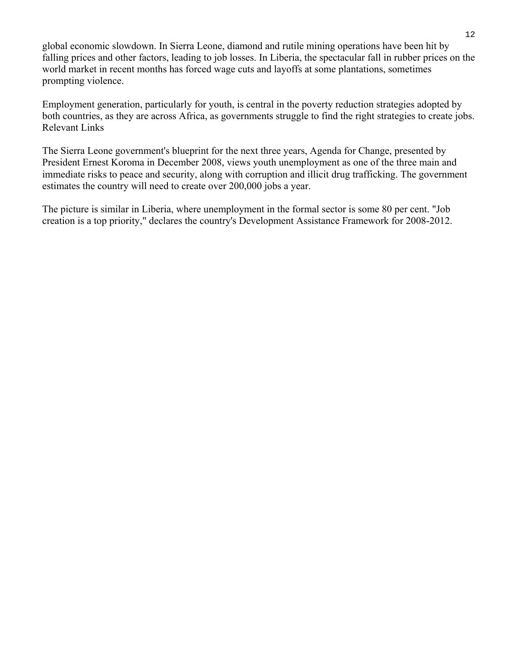global economic slowdown. In Sierra Leone, diamond and rutile mining operations have been hit by falling prices and other factors, leading to job losses. In Liberia, the spectacular fall in rubber prices on the world market in recent months has forced wage cuts and layoffs at some plantations, sometimes prompting violence.

Employment generation, particularly for youth, is central in the poverty reduction strategies adopted by both countries, as they are across Africa, as governments struggle to find the right strategies to create jobs. Relevant Links

The Sierra Leone government's blueprint for the next three years, Agenda for Change, presented by President Ernest Koroma in December 2008, views youth unemployment as one of the three main and immediate risks to peace and security, along with corruption and illicit drug trafficking. The government estimates the country will need to create over 200,000 jobs a year.

The picture is similar in Liberia, where unemployment in the formal sector is some 80 per cent. "Job creation is a top priority," declares the country's Development Assistance Framework for 2008-2012.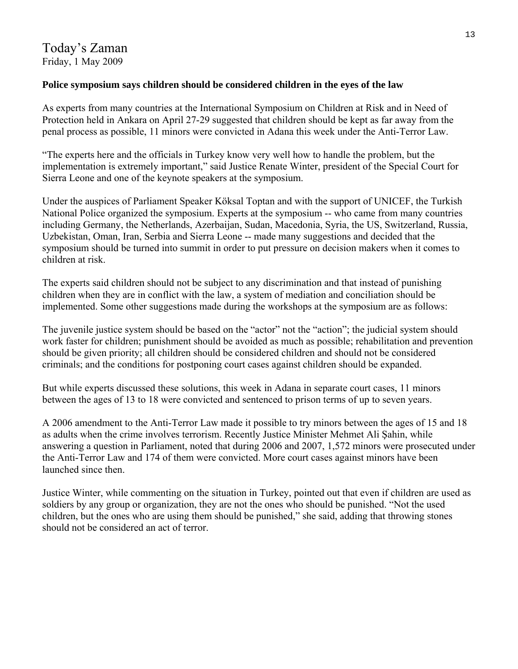### **Police symposium says children should be considered children in the eyes of the law**

As experts from many countries at the International Symposium on Children at Risk and in Need of Protection held in Ankara on April 27-29 suggested that children should be kept as far away from the penal process as possible, 11 minors were convicted in Adana this week under the Anti-Terror Law.

"The experts here and the officials in Turkey know very well how to handle the problem, but the implementation is extremely important," said Justice Renate Winter, president of the Special Court for Sierra Leone and one of the keynote speakers at the symposium.

Under the auspices of Parliament Speaker Köksal Toptan and with the support of UNICEF, the Turkish National Police organized the symposium. Experts at the symposium -- who came from many countries including Germany, the Netherlands, Azerbaijan, Sudan, Macedonia, Syria, the US, Switzerland, Russia, Uzbekistan, Oman, Iran, Serbia and Sierra Leone -- made many suggestions and decided that the symposium should be turned into summit in order to put pressure on decision makers when it comes to children at risk.

The experts said children should not be subject to any discrimination and that instead of punishing children when they are in conflict with the law, a system of mediation and conciliation should be implemented. Some other suggestions made during the workshops at the symposium are as follows:

The juvenile justice system should be based on the "actor" not the "action"; the judicial system should work faster for children; punishment should be avoided as much as possible; rehabilitation and prevention should be given priority; all children should be considered children and should not be considered criminals; and the conditions for postponing court cases against children should be expanded.

But while experts discussed these solutions, this week in Adana in separate court cases, 11 minors between the ages of 13 to 18 were convicted and sentenced to prison terms of up to seven years.

A 2006 amendment to the Anti-Terror Law made it possible to try minors between the ages of 15 and 18 as adults when the crime involves terrorism. Recently Justice Minister Mehmet Ali Şahin, while answering a question in Parliament, noted that during 2006 and 2007, 1,572 minors were prosecuted under the Anti-Terror Law and 174 of them were convicted. More court cases against minors have been launched since then.

Justice Winter, while commenting on the situation in Turkey, pointed out that even if children are used as soldiers by any group or organization, they are not the ones who should be punished. "Not the used children, but the ones who are using them should be punished," she said, adding that throwing stones should not be considered an act of terror.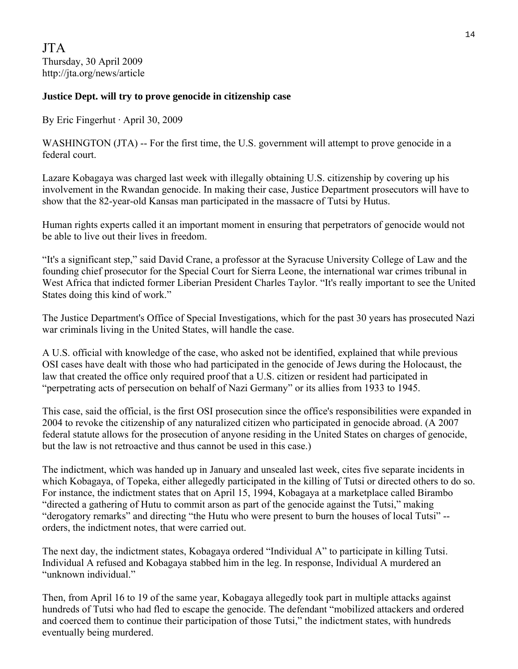JTA Thursday, 30 April 2009 http://jta.org/news/article

### **Justice Dept. will try to prove genocide in citizenship case**

By Eric Fingerhut · April 30, 2009

WASHINGTON (JTA) -- For the first time, the U.S. government will attempt to prove genocide in a federal court.

Lazare Kobagaya was charged last week with illegally obtaining U.S. citizenship by covering up his involvement in the Rwandan genocide. In making their case, Justice Department prosecutors will have to show that the 82-year-old Kansas man participated in the massacre of Tutsi by Hutus.

Human rights experts called it an important moment in ensuring that perpetrators of genocide would not be able to live out their lives in freedom.

"It's a significant step," said David Crane, a professor at the Syracuse University College of Law and the founding chief prosecutor for the Special Court for Sierra Leone, the international war crimes tribunal in West Africa that indicted former Liberian President Charles Taylor. "It's really important to see the United States doing this kind of work."

The Justice Department's Office of Special Investigations, which for the past 30 years has prosecuted Nazi war criminals living in the United States, will handle the case.

A U.S. official with knowledge of the case, who asked not be identified, explained that while previous OSI cases have dealt with those who had participated in the genocide of Jews during the Holocaust, the law that created the office only required proof that a U.S. citizen or resident had participated in "perpetrating acts of persecution on behalf of Nazi Germany" or its allies from 1933 to 1945.

This case, said the official, is the first OSI prosecution since the office's responsibilities were expanded in 2004 to revoke the citizenship of any naturalized citizen who participated in genocide abroad. (A 2007 federal statute allows for the prosecution of anyone residing in the United States on charges of genocide, but the law is not retroactive and thus cannot be used in this case.)

The indictment, which was handed up in January and unsealed last week, cites five separate incidents in which Kobagaya, of Topeka, either allegedly participated in the killing of Tutsi or directed others to do so. For instance, the indictment states that on April 15, 1994, Kobagaya at a marketplace called Birambo "directed a gathering of Hutu to commit arson as part of the genocide against the Tutsi," making "derogatory remarks" and directing "the Hutu who were present to burn the houses of local Tutsi" - orders, the indictment notes, that were carried out.

The next day, the indictment states, Kobagaya ordered "Individual A" to participate in killing Tutsi. Individual A refused and Kobagaya stabbed him in the leg. In response, Individual A murdered an "unknown individual."

Then, from April 16 to 19 of the same year, Kobagaya allegedly took part in multiple attacks against hundreds of Tutsi who had fled to escape the genocide. The defendant "mobilized attackers and ordered and coerced them to continue their participation of those Tutsi," the indictment states, with hundreds eventually being murdered.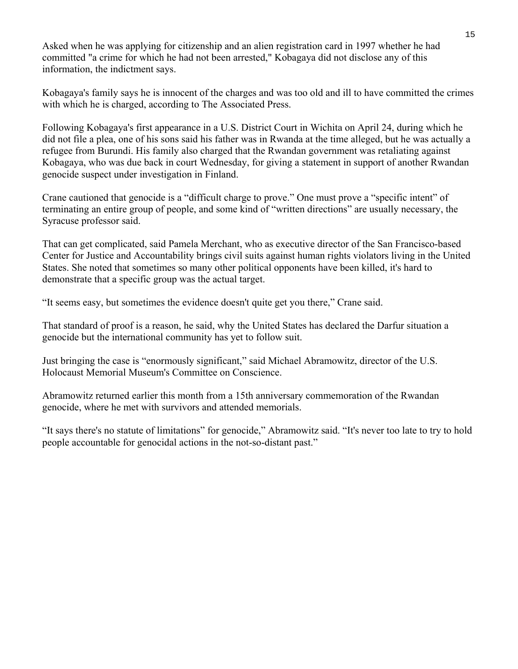Asked when he was applying for citizenship and an alien registration card in 1997 whether he had committed "a crime for which he had not been arrested," Kobagaya did not disclose any of this information, the indictment says.

Kobagaya's family says he is innocent of the charges and was too old and ill to have committed the crimes with which he is charged, according to The Associated Press.

Following Kobagaya's first appearance in a U.S. District Court in Wichita on April 24, during which he did not file a plea, one of his sons said his father was in Rwanda at the time alleged, but he was actually a refugee from Burundi. His family also charged that the Rwandan government was retaliating against Kobagaya, who was due back in court Wednesday, for giving a statement in support of another Rwandan genocide suspect under investigation in Finland.

Crane cautioned that genocide is a "difficult charge to prove." One must prove a "specific intent" of terminating an entire group of people, and some kind of "written directions" are usually necessary, the Syracuse professor said.

That can get complicated, said Pamela Merchant, who as executive director of the San Francisco-based Center for Justice and Accountability brings civil suits against human rights violators living in the United States. She noted that sometimes so many other political opponents have been killed, it's hard to demonstrate that a specific group was the actual target.

"It seems easy, but sometimes the evidence doesn't quite get you there," Crane said.

That standard of proof is a reason, he said, why the United States has declared the Darfur situation a genocide but the international community has yet to follow suit.

Just bringing the case is "enormously significant," said Michael Abramowitz, director of the U.S. Holocaust Memorial Museum's Committee on Conscience.

Abramowitz returned earlier this month from a 15th anniversary commemoration of the Rwandan genocide, where he met with survivors and attended memorials.

"It says there's no statute of limitations" for genocide," Abramowitz said. "It's never too late to try to hold people accountable for genocidal actions in the not-so-distant past."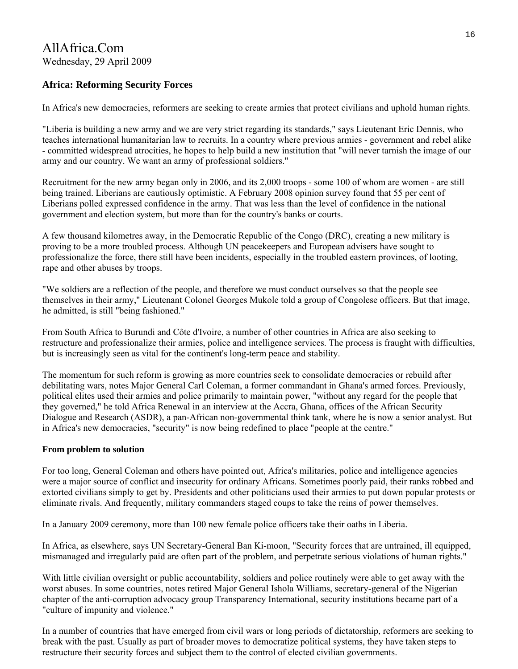# AllAfrica.Com Wednesday, 29 April 2009

# **Africa: Reforming Security Forces**

In Africa's new democracies, reformers are seeking to create armies that protect civilians and uphold human rights.

"Liberia is building a new army and we are very strict regarding its standards," says Lieutenant Eric Dennis, who teaches international humanitarian law to recruits. In a country where previous armies - government and rebel alike - committed widespread atrocities, he hopes to help build a new institution that "will never tarnish the image of our army and our country. We want an army of professional soldiers."

Recruitment for the new army began only in 2006, and its 2,000 troops - some 100 of whom are women - are still being trained. Liberians are cautiously optimistic. A February 2008 opinion survey found that 55 per cent of Liberians polled expressed confidence in the army. That was less than the level of confidence in the national government and election system, but more than for the country's banks or courts.

A few thousand kilometres away, in the Democratic Republic of the Congo (DRC), creating a new military is proving to be a more troubled process. Although UN peacekeepers and European advisers have sought to professionalize the force, there still have been incidents, especially in the troubled eastern provinces, of looting, rape and other abuses by troops.

"We soldiers are a reflection of the people, and therefore we must conduct ourselves so that the people see themselves in their army," Lieutenant Colonel Georges Mukole told a group of Congolese officers. But that image, he admitted, is still "being fashioned."

From South Africa to Burundi and Côte d'Ivoire, a number of other countries in Africa are also seeking to restructure and professionalize their armies, police and intelligence services. The process is fraught with difficulties, but is increasingly seen as vital for the continent's long-term peace and stability.

The momentum for such reform is growing as more countries seek to consolidate democracies or rebuild after debilitating wars, notes Major General Carl Coleman, a former commandant in Ghana's armed forces. Previously, political elites used their armies and police primarily to maintain power, "without any regard for the people that they governed," he told Africa Renewal in an interview at the Accra, Ghana, offices of the African Security Dialogue and Research (ASDR), a pan-African non-governmental think tank, where he is now a senior analyst. But in Africa's new democracies, "security" is now being redefined to place "people at the centre."

### **From problem to solution**

For too long, General Coleman and others have pointed out, Africa's militaries, police and intelligence agencies were a major source of conflict and insecurity for ordinary Africans. Sometimes poorly paid, their ranks robbed and extorted civilians simply to get by. Presidents and other politicians used their armies to put down popular protests or eliminate rivals. And frequently, military commanders staged coups to take the reins of power themselves.

In a January 2009 ceremony, more than 100 new female police officers take their oaths in Liberia.

In Africa, as elsewhere, says UN Secretary-General Ban Ki-moon, "Security forces that are untrained, ill equipped, mismanaged and irregularly paid are often part of the problem, and perpetrate serious violations of human rights."

With little civilian oversight or public accountability, soldiers and police routinely were able to get away with the worst abuses. In some countries, notes retired Major General Ishola Williams, secretary-general of the Nigerian chapter of the anti-corruption advocacy group Transparency International, security institutions became part of a "culture of impunity and violence."

In a number of countries that have emerged from civil wars or long periods of dictatorship, reformers are seeking to break with the past. Usually as part of broader moves to democratize political systems, they have taken steps to restructure their security forces and subject them to the control of elected civilian governments.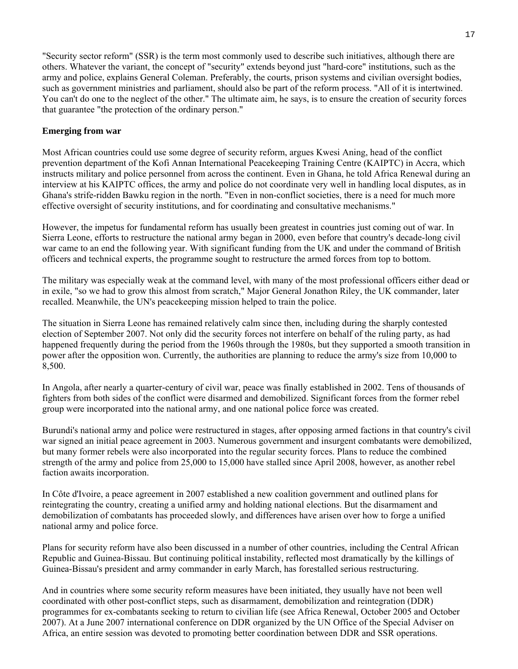"Security sector reform" (SSR) is the term most commonly used to describe such initiatives, although there are others. Whatever the variant, the concept of "security" extends beyond just "hard-core" institutions, such as the army and police, explains General Coleman. Preferably, the courts, prison systems and civilian oversight bodies, such as government ministries and parliament, should also be part of the reform process. "All of it is intertwined. You can't do one to the neglect of the other." The ultimate aim, he says, is to ensure the creation of security forces that guarantee "the protection of the ordinary person."

#### **Emerging from war**

Most African countries could use some degree of security reform, argues Kwesi Aning, head of the conflict prevention department of the Kofi Annan International Peacekeeping Training Centre (KAIPTC) in Accra, which instructs military and police personnel from across the continent. Even in Ghana, he told Africa Renewal during an interview at his KAIPTC offices, the army and police do not coordinate very well in handling local disputes, as in Ghana's strife-ridden Bawku region in the north. "Even in non-conflict societies, there is a need for much more effective oversight of security institutions, and for coordinating and consultative mechanisms."

However, the impetus for fundamental reform has usually been greatest in countries just coming out of war. In Sierra Leone, efforts to restructure the national army began in 2000, even before that country's decade-long civil war came to an end the following year. With significant funding from the UK and under the command of British officers and technical experts, the programme sought to restructure the armed forces from top to bottom.

The military was especially weak at the command level, with many of the most professional officers either dead or in exile, "so we had to grow this almost from scratch," Major General Jonathon Riley, the UK commander, later recalled. Meanwhile, the UN's peacekeeping mission helped to train the police.

The situation in Sierra Leone has remained relatively calm since then, including during the sharply contested election of September 2007. Not only did the security forces not interfere on behalf of the ruling party, as had happened frequently during the period from the 1960s through the 1980s, but they supported a smooth transition in power after the opposition won. Currently, the authorities are planning to reduce the army's size from 10,000 to 8,500.

In Angola, after nearly a quarter-century of civil war, peace was finally established in 2002. Tens of thousands of fighters from both sides of the conflict were disarmed and demobilized. Significant forces from the former rebel group were incorporated into the national army, and one national police force was created.

Burundi's national army and police were restructured in stages, after opposing armed factions in that country's civil war signed an initial peace agreement in 2003. Numerous government and insurgent combatants were demobilized, but many former rebels were also incorporated into the regular security forces. Plans to reduce the combined strength of the army and police from 25,000 to 15,000 have stalled since April 2008, however, as another rebel faction awaits incorporation.

In Côte d'Ivoire, a peace agreement in 2007 established a new coalition government and outlined plans for reintegrating the country, creating a unified army and holding national elections. But the disarmament and demobilization of combatants has proceeded slowly, and differences have arisen over how to forge a unified national army and police force.

Plans for security reform have also been discussed in a number of other countries, including the Central African Republic and Guinea-Bissau. But continuing political instability, reflected most dramatically by the killings of Guinea-Bissau's president and army commander in early March, has forestalled serious restructuring.

And in countries where some security reform measures have been initiated, they usually have not been well coordinated with other post-conflict steps, such as disarmament, demobilization and reintegration (DDR) programmes for ex-combatants seeking to return to civilian life (see Africa Renewal, October 2005 and October 2007). At a June 2007 international conference on DDR organized by the UN Office of the Special Adviser on Africa, an entire session was devoted to promoting better coordination between DDR and SSR operations.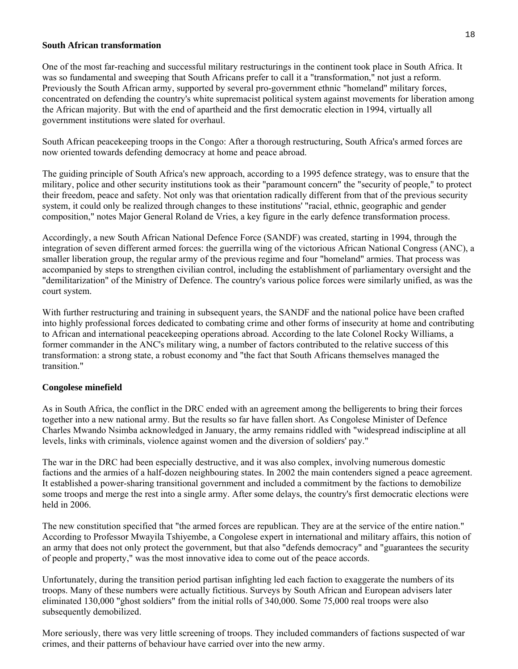#### **South African transformation**

One of the most far-reaching and successful military restructurings in the continent took place in South Africa. It was so fundamental and sweeping that South Africans prefer to call it a "transformation," not just a reform. Previously the South African army, supported by several pro-government ethnic "homeland" military forces, concentrated on defending the country's white supremacist political system against movements for liberation among the African majority. But with the end of apartheid and the first democratic election in 1994, virtually all government institutions were slated for overhaul.

South African peacekeeping troops in the Congo: After a thorough restructuring, South Africa's armed forces are now oriented towards defending democracy at home and peace abroad.

The guiding principle of South Africa's new approach, according to a 1995 defence strategy, was to ensure that the military, police and other security institutions took as their "paramount concern" the "security of people," to protect their freedom, peace and safety. Not only was that orientation radically different from that of the previous security system, it could only be realized through changes to these institutions' "racial, ethnic, geographic and gender composition," notes Major General Roland de Vries, a key figure in the early defence transformation process.

Accordingly, a new South African National Defence Force (SANDF) was created, starting in 1994, through the integration of seven different armed forces: the guerrilla wing of the victorious African National Congress (ANC), a smaller liberation group, the regular army of the previous regime and four "homeland" armies. That process was accompanied by steps to strengthen civilian control, including the establishment of parliamentary oversight and the "demilitarization" of the Ministry of Defence. The country's various police forces were similarly unified, as was the court system.

With further restructuring and training in subsequent years, the SANDF and the national police have been crafted into highly professional forces dedicated to combating crime and other forms of insecurity at home and contributing to African and international peacekeeping operations abroad. According to the late Colonel Rocky Williams, a former commander in the ANC's military wing, a number of factors contributed to the relative success of this transformation: a strong state, a robust economy and "the fact that South Africans themselves managed the transition."

#### **Congolese minefield**

As in South Africa, the conflict in the DRC ended with an agreement among the belligerents to bring their forces together into a new national army. But the results so far have fallen short. As Congolese Minister of Defence Charles Mwando Nsimba acknowledged in January, the army remains riddled with "widespread indiscipline at all levels, links with criminals, violence against women and the diversion of soldiers' pay."

The war in the DRC had been especially destructive, and it was also complex, involving numerous domestic factions and the armies of a half-dozen neighbouring states. In 2002 the main contenders signed a peace agreement. It established a power-sharing transitional government and included a commitment by the factions to demobilize some troops and merge the rest into a single army. After some delays, the country's first democratic elections were held in 2006.

The new constitution specified that "the armed forces are republican. They are at the service of the entire nation." According to Professor Mwayila Tshiyembe, a Congolese expert in international and military affairs, this notion of an army that does not only protect the government, but that also "defends democracy" and "guarantees the security of people and property," was the most innovative idea to come out of the peace accords.

Unfortunately, during the transition period partisan infighting led each faction to exaggerate the numbers of its troops. Many of these numbers were actually fictitious. Surveys by South African and European advisers later eliminated 130,000 "ghost soldiers" from the initial rolls of 340,000. Some 75,000 real troops were also subsequently demobilized.

More seriously, there was very little screening of troops. They included commanders of factions suspected of war crimes, and their patterns of behaviour have carried over into the new army.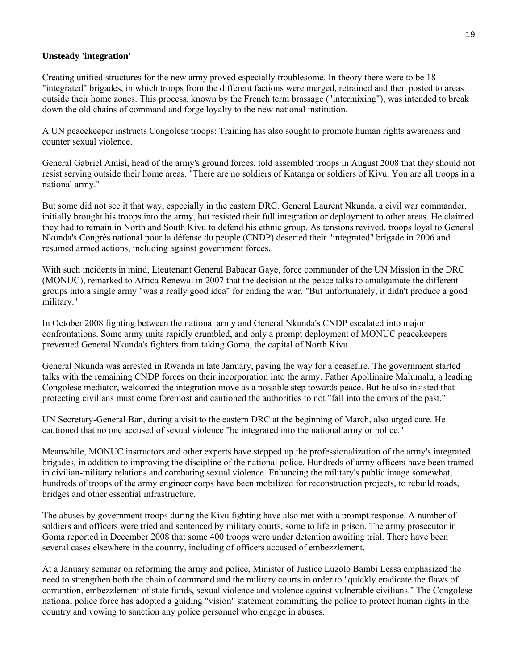#### **Unsteady 'integration'**

Creating unified structures for the new army proved especially troublesome. In theory there were to be 18 "integrated" brigades, in which troops from the different factions were merged, retrained and then posted to areas outside their home zones. This process, known by the French term brassage ("intermixing"), was intended to break down the old chains of command and forge loyalty to the new national institution.

A UN peacekeeper instructs Congolese troops: Training has also sought to promote human rights awareness and counter sexual violence.

General Gabriel Amisi, head of the army's ground forces, told assembled troops in August 2008 that they should not resist serving outside their home areas. "There are no soldiers of Katanga or soldiers of Kivu. You are all troops in a national army."

But some did not see it that way, especially in the eastern DRC. General Laurent Nkunda, a civil war commander, initially brought his troops into the army, but resisted their full integration or deployment to other areas. He claimed they had to remain in North and South Kivu to defend his ethnic group. As tensions revived, troops loyal to General Nkunda's Congrès national pour la défense du peuple (CNDP) deserted their "integrated" brigade in 2006 and resumed armed actions, including against government forces.

With such incidents in mind, Lieutenant General Babacar Gaye, force commander of the UN Mission in the DRC (MONUC), remarked to Africa Renewal in 2007 that the decision at the peace talks to amalgamate the different groups into a single army "was a really good idea" for ending the war. "But unfortunately, it didn't produce a good military."

In October 2008 fighting between the national army and General Nkunda's CNDP escalated into major confrontations. Some army units rapidly crumbled, and only a prompt deployment of MONUC peacekeepers prevented General Nkunda's fighters from taking Goma, the capital of North Kivu.

General Nkunda was arrested in Rwanda in late January, paving the way for a ceasefire. The government started talks with the remaining CNDP forces on their incorporation into the army. Father Apollinaire Malumalu, a leading Congolese mediator, welcomed the integration move as a possible step towards peace. But he also insisted that protecting civilians must come foremost and cautioned the authorities to not "fall into the errors of the past."

UN Secretary-General Ban, during a visit to the eastern DRC at the beginning of March, also urged care. He cautioned that no one accused of sexual violence "be integrated into the national army or police."

Meanwhile, MONUC instructors and other experts have stepped up the professionalization of the army's integrated brigades, in addition to improving the discipline of the national police. Hundreds of army officers have been trained in civilian-military relations and combating sexual violence. Enhancing the military's public image somewhat, hundreds of troops of the army engineer corps have been mobilized for reconstruction projects, to rebuild roads, bridges and other essential infrastructure.

The abuses by government troops during the Kivu fighting have also met with a prompt response. A number of soldiers and officers were tried and sentenced by military courts, some to life in prison. The army prosecutor in Goma reported in December 2008 that some 400 troops were under detention awaiting trial. There have been several cases elsewhere in the country, including of officers accused of embezzlement.

At a January seminar on reforming the army and police, Minister of Justice Luzolo Bambi Lessa emphasized the need to strengthen both the chain of command and the military courts in order to "quickly eradicate the flaws of corruption, embezzlement of state funds, sexual violence and violence against vulnerable civilians." The Congolese national police force has adopted a guiding "vision" statement committing the police to protect human rights in the country and vowing to sanction any police personnel who engage in abuses.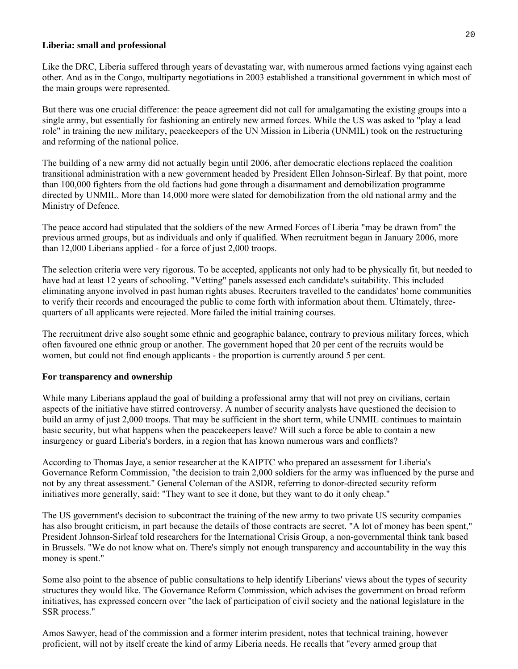#### **Liberia: small and professional**

Like the DRC, Liberia suffered through years of devastating war, with numerous armed factions vying against each other. And as in the Congo, multiparty negotiations in 2003 established a transitional government in which most of the main groups were represented.

But there was one crucial difference: the peace agreement did not call for amalgamating the existing groups into a single army, but essentially for fashioning an entirely new armed forces. While the US was asked to "play a lead role" in training the new military, peacekeepers of the UN Mission in Liberia (UNMIL) took on the restructuring and reforming of the national police.

The building of a new army did not actually begin until 2006, after democratic elections replaced the coalition transitional administration with a new government headed by President Ellen Johnson-Sirleaf. By that point, more than 100,000 fighters from the old factions had gone through a disarmament and demobilization programme directed by UNMIL. More than 14,000 more were slated for demobilization from the old national army and the Ministry of Defence.

The peace accord had stipulated that the soldiers of the new Armed Forces of Liberia "may be drawn from" the previous armed groups, but as individuals and only if qualified. When recruitment began in January 2006, more than 12,000 Liberians applied - for a force of just 2,000 troops.

The selection criteria were very rigorous. To be accepted, applicants not only had to be physically fit, but needed to have had at least 12 years of schooling. "Vetting" panels assessed each candidate's suitability. This included eliminating anyone involved in past human rights abuses. Recruiters travelled to the candidates' home communities to verify their records and encouraged the public to come forth with information about them. Ultimately, threequarters of all applicants were rejected. More failed the initial training courses.

The recruitment drive also sought some ethnic and geographic balance, contrary to previous military forces, which often favoured one ethnic group or another. The government hoped that 20 per cent of the recruits would be women, but could not find enough applicants - the proportion is currently around 5 per cent.

#### **For transparency and ownership**

While many Liberians applaud the goal of building a professional army that will not prey on civilians, certain aspects of the initiative have stirred controversy. A number of security analysts have questioned the decision to build an army of just 2,000 troops. That may be sufficient in the short term, while UNMIL continues to maintain basic security, but what happens when the peacekeepers leave? Will such a force be able to contain a new insurgency or guard Liberia's borders, in a region that has known numerous wars and conflicts?

According to Thomas Jaye, a senior researcher at the KAIPTC who prepared an assessment for Liberia's Governance Reform Commission, "the decision to train 2,000 soldiers for the army was influenced by the purse and not by any threat assessment." General Coleman of the ASDR, referring to donor-directed security reform initiatives more generally, said: "They want to see it done, but they want to do it only cheap."

The US government's decision to subcontract the training of the new army to two private US security companies has also brought criticism, in part because the details of those contracts are secret. "A lot of money has been spent," President Johnson-Sirleaf told researchers for the International Crisis Group, a non-governmental think tank based in Brussels. "We do not know what on. There's simply not enough transparency and accountability in the way this money is spent."

Some also point to the absence of public consultations to help identify Liberians' views about the types of security structures they would like. The Governance Reform Commission, which advises the government on broad reform initiatives, has expressed concern over "the lack of participation of civil society and the national legislature in the SSR process."

Amos Sawyer, head of the commission and a former interim president, notes that technical training, however proficient, will not by itself create the kind of army Liberia needs. He recalls that "every armed group that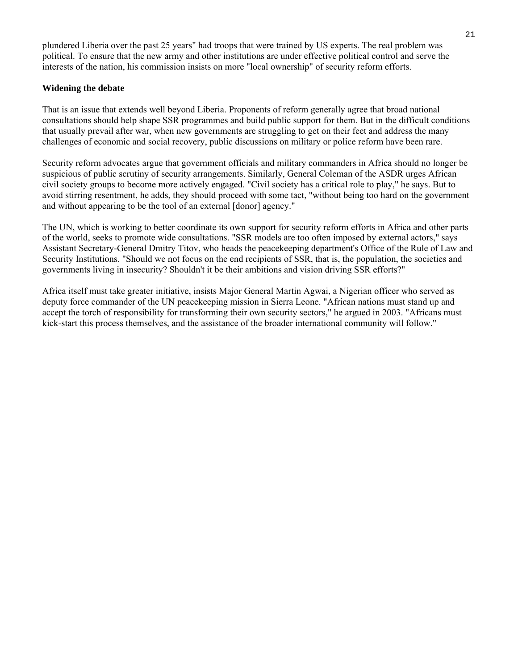plundered Liberia over the past 25 years" had troops that were trained by US experts. The real problem was political. To ensure that the new army and other institutions are under effective political control and serve the interests of the nation, his commission insists on more "local ownership" of security reform efforts.

#### **Widening the debate**

That is an issue that extends well beyond Liberia. Proponents of reform generally agree that broad national consultations should help shape SSR programmes and build public support for them. But in the difficult conditions that usually prevail after war, when new governments are struggling to get on their feet and address the many challenges of economic and social recovery, public discussions on military or police reform have been rare.

Security reform advocates argue that government officials and military commanders in Africa should no longer be suspicious of public scrutiny of security arrangements. Similarly, General Coleman of the ASDR urges African civil society groups to become more actively engaged. "Civil society has a critical role to play," he says. But to avoid stirring resentment, he adds, they should proceed with some tact, "without being too hard on the government and without appearing to be the tool of an external [donor] agency."

The UN, which is working to better coordinate its own support for security reform efforts in Africa and other parts of the world, seeks to promote wide consultations. "SSR models are too often imposed by external actors," says Assistant Secretary-General Dmitry Titov, who heads the peacekeeping department's Office of the Rule of Law and Security Institutions. "Should we not focus on the end recipients of SSR, that is, the population, the societies and governments living in insecurity? Shouldn't it be their ambitions and vision driving SSR efforts?"

Africa itself must take greater initiative, insists Major General Martin Agwai, a Nigerian officer who served as deputy force commander of the UN peacekeeping mission in Sierra Leone. "African nations must stand up and accept the torch of responsibility for transforming their own security sectors," he argued in 2003. "Africans must kick-start this process themselves, and the assistance of the broader international community will follow."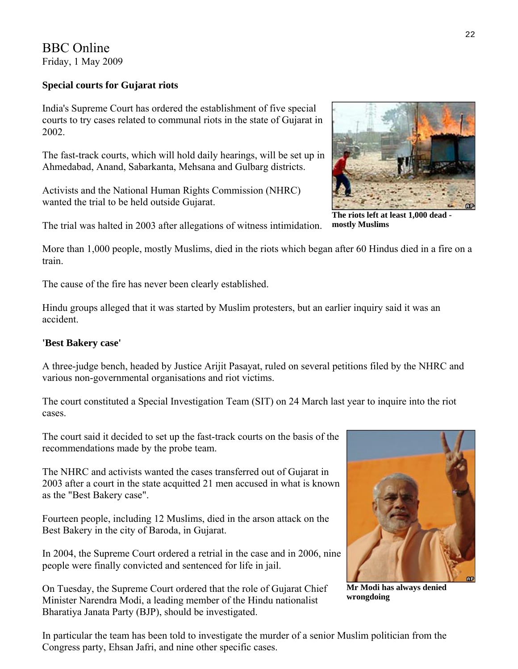BBC Online Friday, 1 May 2009

# **Special courts for Gujarat riots**

India's Supreme Court has ordered the establishment of five special courts to try cases related to communal riots in the state of Gujarat in 2002.

The fast-track courts, which will hold daily hearings, will be set up in Ahmedabad, Anand, Sabarkanta, Mehsana and Gulbarg districts.

Activists and the National Human Rights Commission (NHRC) wanted the trial to be held outside Gujarat.

The trial was halted in 2003 after allegations of witness intimidation.

More than 1,000 people, mostly Muslims, died in the riots which began after 60 Hindus died in a fire on a train.

The cause of the fire has never been clearly established.

Hindu groups alleged that it was started by Muslim protesters, but an earlier inquiry said it was an accident.

# **'Best Bakery case'**

A three-judge bench, headed by Justice Arijit Pasayat, ruled on several petitions filed by the NHRC and various non-governmental organisations and riot victims.

The court constituted a Special Investigation Team (SIT) on 24 March last year to inquire into the riot cases.

The court said it decided to set up the fast-track courts on the basis of the recommendations made by the probe team.

The NHRC and activists wanted the cases transferred out of Gujarat in 2003 after a court in the state acquitted 21 men accused in what is known as the "Best Bakery case".

Fourteen people, including 12 Muslims, died in the arson attack on the Best Bakery in the city of Baroda, in Gujarat.

In 2004, the Supreme Court ordered a retrial in the case and in 2006, nine people were finally convicted and sentenced for life in jail.

On Tuesday, the Supreme Court ordered that the role of Gujarat Chief Minister Narendra Modi, a leading member of the Hindu nationalist Bharatiya Janata Party (BJP), should be investigated.

In particular the team has been told to investigate the murder of a senior Muslim politician from the Congress party, Ehsan Jafri, and nine other specific cases.

22

**mostly Muslims** 

**The riots left at least 1,000 dead -** 



**Mr Modi has always denied wrongdoing**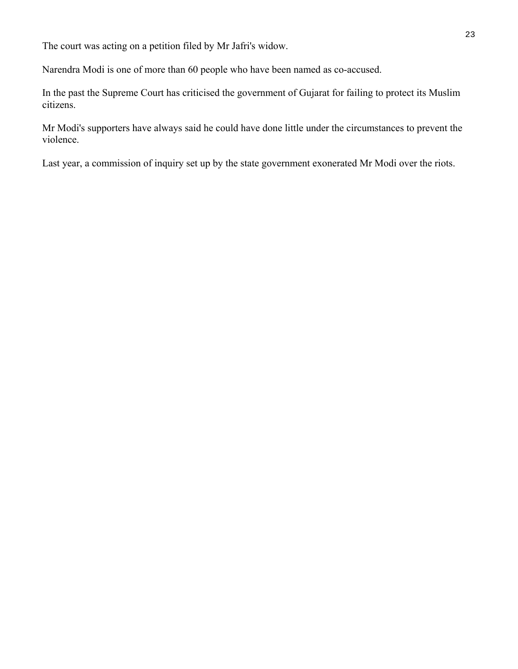The court was acting on a petition filed by Mr Jafri's widow.

Narendra Modi is one of more than 60 people who have been named as co-accused.

In the past the Supreme Court has criticised the government of Gujarat for failing to protect its Muslim citizens.

Mr Modi's supporters have always said he could have done little under the circumstances to prevent the violence.

Last year, a commission of inquiry set up by the state government exonerated Mr Modi over the riots.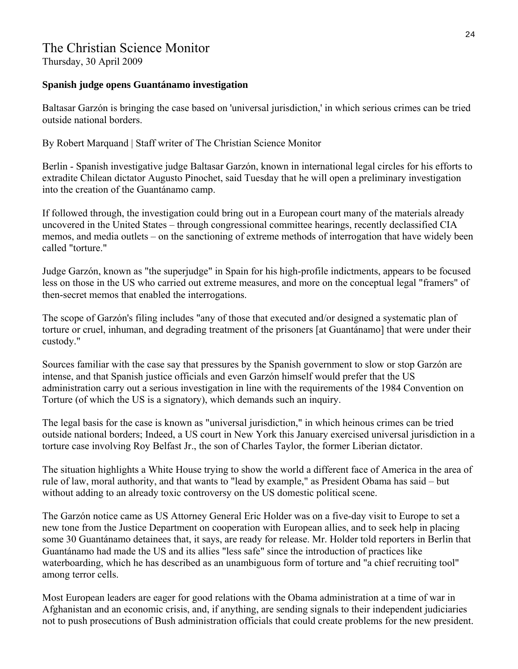# The Christian Science Monitor

Thursday, 30 April 2009

### **Spanish judge opens Guantánamo investigation**

Baltasar Garzón is bringing the case based on 'universal jurisdiction,' in which serious crimes can be tried outside national borders.

By Robert Marquand | Staff writer of The Christian Science Monitor

Berlin - Spanish investigative judge Baltasar Garzón, known in international legal circles for his efforts to extradite Chilean dictator Augusto Pinochet, said Tuesday that he will open a preliminary investigation into the creation of the Guantánamo camp.

If followed through, the investigation could bring out in a European court many of the materials already uncovered in the United States – through congressional committee hearings, recently declassified CIA memos, and media outlets – on the sanctioning of extreme methods of interrogation that have widely been called "torture."

Judge Garzón, known as "the superjudge" in Spain for his high-profile indictments, appears to be focused less on those in the US who carried out extreme measures, and more on the conceptual legal "framers" of then-secret memos that enabled the interrogations.

The scope of Garzón's filing includes "any of those that executed and/or designed a systematic plan of torture or cruel, inhuman, and degrading treatment of the prisoners [at Guantánamo] that were under their custody."

Sources familiar with the case say that pressures by the Spanish government to slow or stop Garzón are intense, and that Spanish justice officials and even Garzón himself would prefer that the US administration carry out a serious investigation in line with the requirements of the 1984 Convention on Torture (of which the US is a signatory), which demands such an inquiry.

The legal basis for the case is known as "universal jurisdiction," in which heinous crimes can be tried outside national borders; Indeed, a US court in New York this January exercised universal jurisdiction in a torture case involving Roy Belfast Jr., the son of Charles Taylor, the former Liberian dictator.

The situation highlights a White House trying to show the world a different face of America in the area of rule of law, moral authority, and that wants to "lead by example," as President Obama has said – but without adding to an already toxic controversy on the US domestic political scene.

The Garzón notice came as US Attorney General Eric Holder was on a five-day visit to Europe to set a new tone from the Justice Department on cooperation with European allies, and to seek help in placing some 30 Guantánamo detainees that, it says, are ready for release. Mr. Holder told reporters in Berlin that Guantánamo had made the US and its allies "less safe" since the introduction of practices like waterboarding, which he has described as an unambiguous form of torture and "a chief recruiting tool" among terror cells.

Most European leaders are eager for good relations with the Obama administration at a time of war in Afghanistan and an economic crisis, and, if anything, are sending signals to their independent judiciaries not to push prosecutions of Bush administration officials that could create problems for the new president.